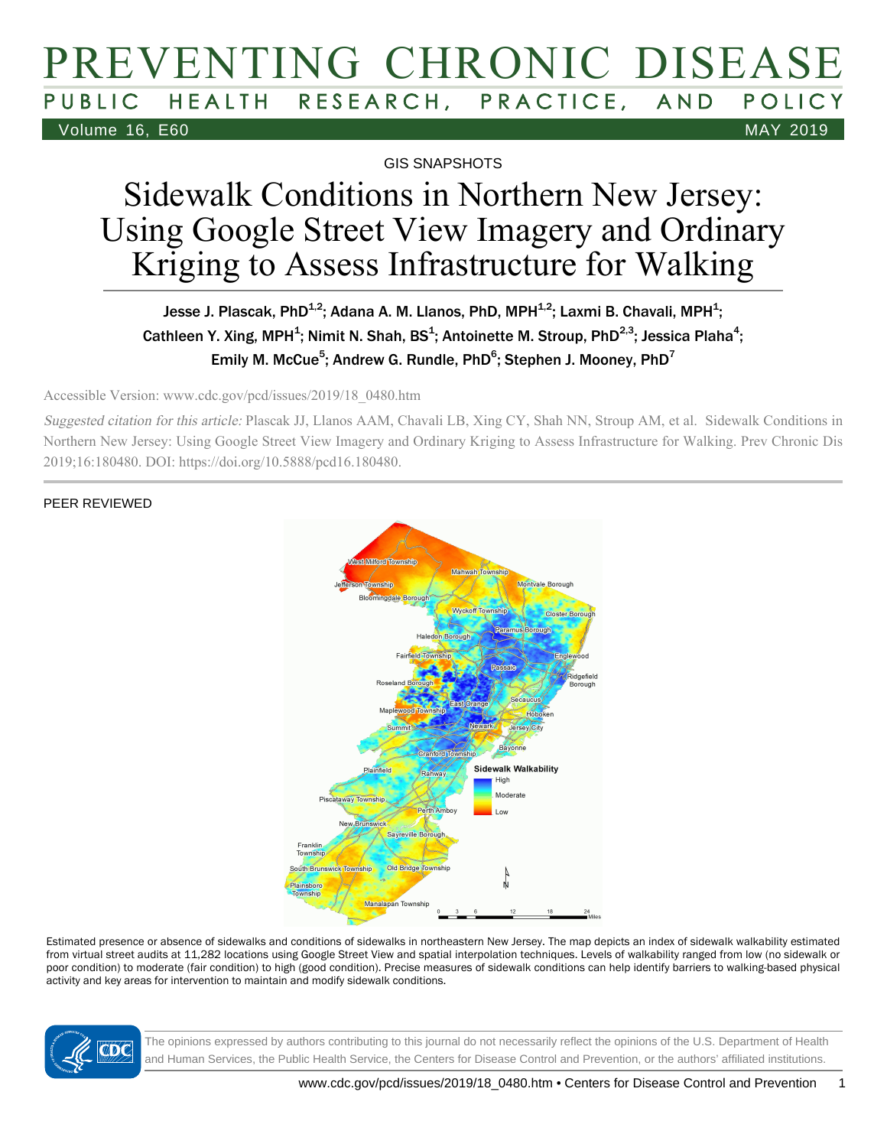# PREVENTING CHRONIC DISEASE PUBLIC HEALTH RESEARCH, PRACTICE, AND POLICY Volume 16, E60 MAY 2019

GIS SNAPSHOTS

# Sidewalk Conditions in Northern New Jersey: Using Google Street View Imagery and Ordinary Kriging to Assess Infrastructure for Walking

#### Jesse J. Plascak, PhD $^{1,2}$ ; Adana A. M. Llanos, PhD, MPH $^{1,2}$ ; Laxmi B. Chavali, MPH $^1$ ; Cathleen Y. Xing, MPH<sup>1</sup>; Nimit N. Shah, BS<sup>1</sup>; Antoinette M. Stroup, PhD<sup>2,3</sup>; Jessica Plaha<sup>4</sup>; Emily M. McCue<sup>5</sup>; Andrew G. Rundle, PhD<sup>6</sup>; Stephen J. Mooney, PhD<sup>7</sup>

Accessible Version: www.cdc.gov/pcd/issues/2019/18\_0480.htm

Suggested citation for this article: Plascak JJ, Llanos AAM, Chavali LB, Xing CY, Shah NN, Stroup AM, et al. Sidewalk Conditions in Northern New Jersey: Using Google Street View Imagery and Ordinary Kriging to Assess Infrastructure for Walking. Prev Chronic Dis 2019;16:180480. DOI: https://doi.org/10.5888/pcd16.180480.

#### PEER REVIEWED



Estimated presence or absence of sidewalks and conditions of sidewalks in northeastern New Jersey. The map depicts an index of sidewalk walkability estimated from virtual street audits at 11,282 locations using Google Street View and spatial interpolation techniques. Levels of walkability ranged from low (no sidewalk or poor condition) to moderate (fair condition) to high (good condition). Precise measures of sidewalk conditions can help identify barriers to walking-based physical activity and key areas for intervention to maintain and modify sidewalk conditions.



The opinions expressed by authors contributing to this journal do not necessarily reflect the opinions of the U.S. Department of Health and Human Services, the Public Health Service, the Centers for Disease Control and Prevention, or the authors' affiliated institutions.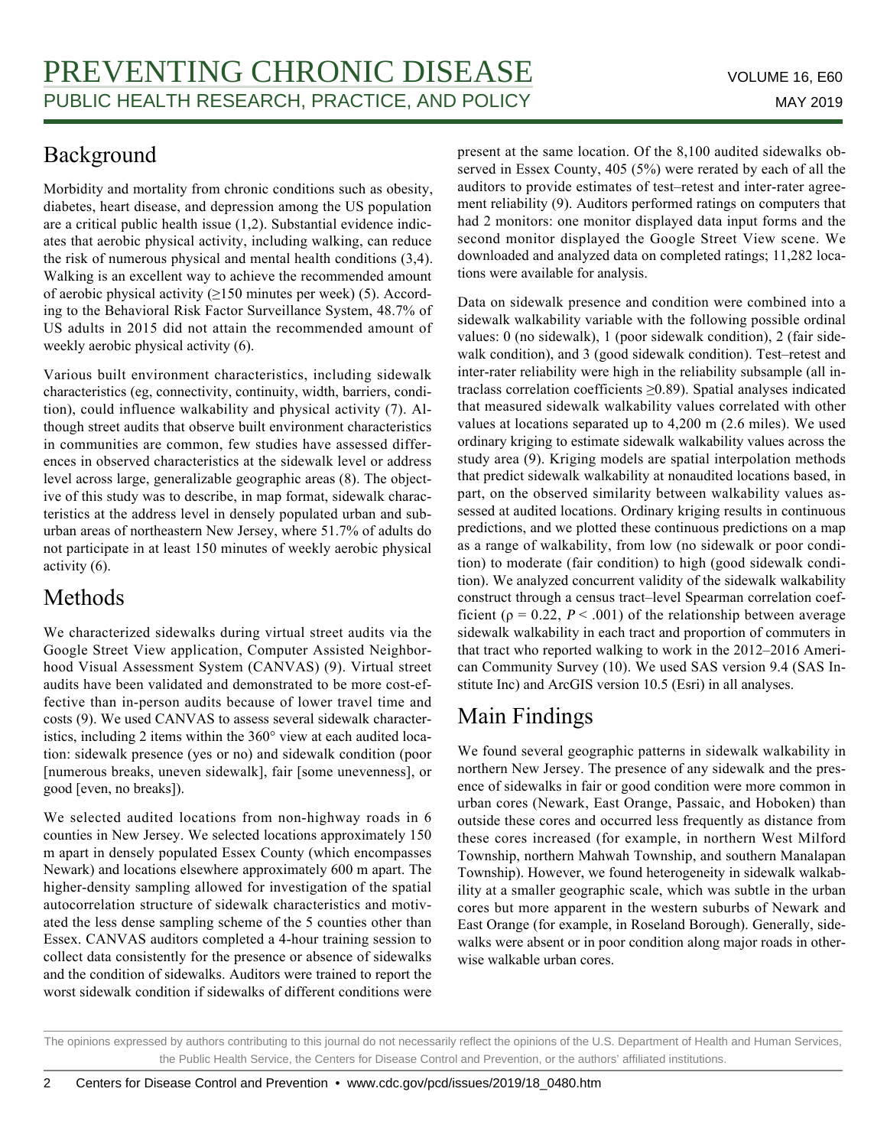# Background

Morbidity and mortality from chronic conditions such as obesity, diabetes, heart disease, and depression among the US population are a critical public health issue (1,2). Substantial evidence indicates that aerobic physical activity, including walking, can reduce the risk of numerous physical and mental health conditions (3,4). Walking is an excellent way to achieve the recommended amount of aerobic physical activity  $(≥150$  minutes per week) (5). According to the Behavioral Risk Factor Surveillance System, 48.7% of US adults in 2015 did not attain the recommended amount of weekly aerobic physical activity (6).

Various built environment characteristics, including sidewalk characteristics (eg, connectivity, continuity, width, barriers, condition), could influence walkability and physical activity (7). Although street audits that observe built environment characteristics in communities are common, few studies have assessed differences in observed characteristics at the sidewalk level or address level across large, generalizable geographic areas (8). The objective of this study was to describe, in map format, sidewalk characteristics at the address level in densely populated urban and suburban areas of northeastern New Jersey, where 51.7% of adults do not participate in at least 150 minutes of weekly aerobic physical activity (6).

# Methods

We characterized sidewalks during virtual street audits via the Google Street View application, Computer Assisted Neighborhood Visual Assessment System (CANVAS) (9). Virtual street audits have been validated and demonstrated to be more cost-effective than in-person audits because of lower travel time and costs (9). We used CANVAS to assess several sidewalk characteristics, including 2 items within the 360° view at each audited location: sidewalk presence (yes or no) and sidewalk condition (poor [numerous breaks, uneven sidewalk], fair [some unevenness], or good [even, no breaks]).

We selected audited locations from non-highway roads in 6 counties in New Jersey. We selected locations approximately 150 m apart in densely populated Essex County (which encompasses Newark) and locations elsewhere approximately 600 m apart. The higher-density sampling allowed for investigation of the spatial autocorrelation structure of sidewalk characteristics and motivated the less dense sampling scheme of the 5 counties other than Essex. CANVAS auditors completed a 4-hour training session to collect data consistently for the presence or absence of sidewalks and the condition of sidewalks. Auditors were trained to report the worst sidewalk condition if sidewalks of different conditions were present at the same location. Of the 8,100 audited sidewalks observed in Essex County, 405 (5%) were rerated by each of all the auditors to provide estimates of test–retest and inter-rater agreement reliability (9). Auditors performed ratings on computers that had 2 monitors: one monitor displayed data input forms and the second monitor displayed the Google Street View scene. We downloaded and analyzed data on completed ratings; 11,282 locations were available for analysis.

Data on sidewalk presence and condition were combined into a sidewalk walkability variable with the following possible ordinal values: 0 (no sidewalk), 1 (poor sidewalk condition), 2 (fair sidewalk condition), and 3 (good sidewalk condition). Test–retest and inter-rater reliability were high in the reliability subsample (all intraclass correlation coefficients ≥0.89). Spatial analyses indicated that measured sidewalk walkability values correlated with other values at locations separated up to 4,200 m (2.6 miles). We used ordinary kriging to estimate sidewalk walkability values across the study area (9). Kriging models are spatial interpolation methods that predict sidewalk walkability at nonaudited locations based, in part, on the observed similarity between walkability values assessed at audited locations. Ordinary kriging results in continuous predictions, and we plotted these continuous predictions on a map as a range of walkability, from low (no sidewalk or poor condition) to moderate (fair condition) to high (good sidewalk condition). We analyzed concurrent validity of the sidewalk walkability construct through a census tract–level Spearman correlation coefficient ( $\rho = 0.22$ ,  $P < .001$ ) of the relationship between average sidewalk walkability in each tract and proportion of commuters in that tract who reported walking to work in the 2012–2016 American Community Survey (10). We used SAS version 9.4 (SAS Institute Inc) and ArcGIS version 10.5 (Esri) in all analyses.

# Main Findings

We found several geographic patterns in sidewalk walkability in northern New Jersey. The presence of any sidewalk and the presence of sidewalks in fair or good condition were more common in urban cores (Newark, East Orange, Passaic, and Hoboken) than outside these cores and occurred less frequently as distance from these cores increased (for example, in northern West Milford Township, northern Mahwah Township, and southern Manalapan Township). However, we found heterogeneity in sidewalk walkability at a smaller geographic scale, which was subtle in the urban cores but more apparent in the western suburbs of Newark and East Orange (for example, in Roseland Borough). Generally, sidewalks were absent or in poor condition along major roads in otherwise walkable urban cores.

The opinions expressed by authors contributing to this journal do not necessarily reflect the opinions of the U.S. Department of Health and Human Services, the Public Health Service, the Centers for Disease Control and Prevention, or the authors' affiliated institutions.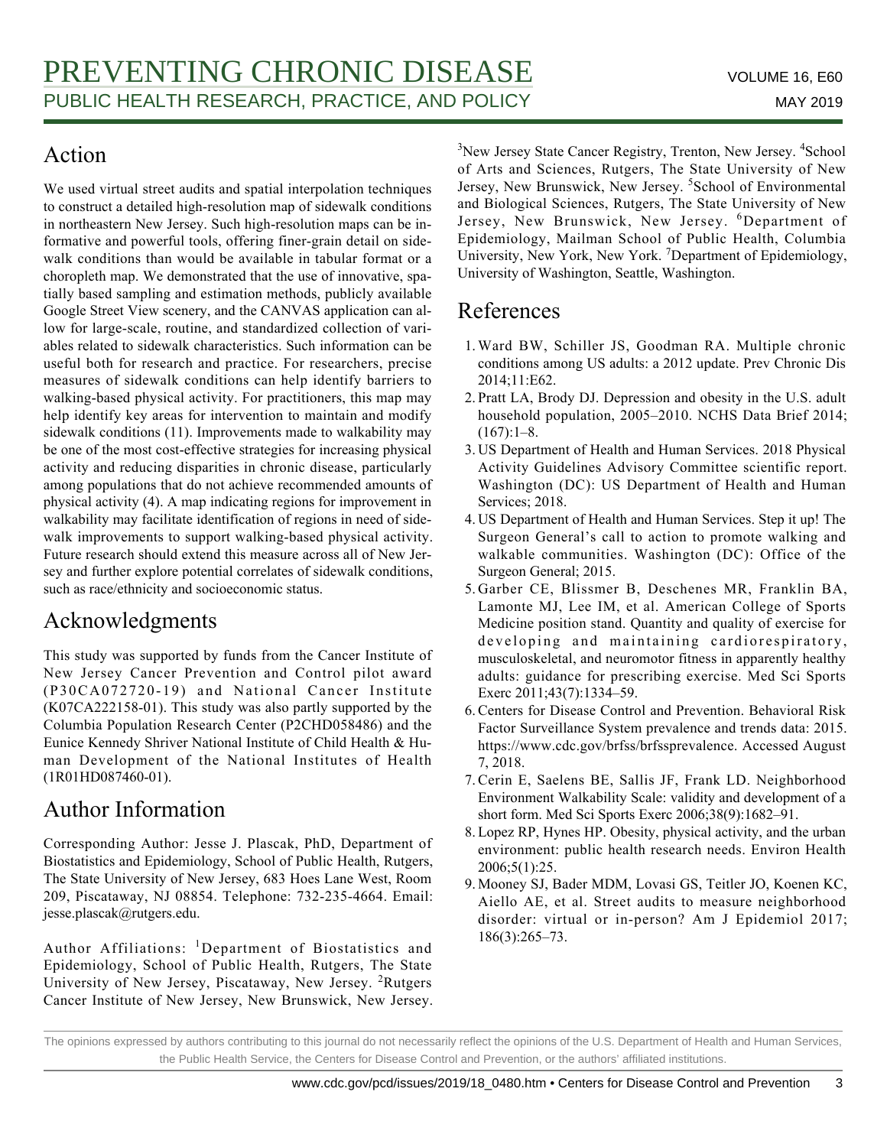# Action

We used virtual street audits and spatial interpolation techniques to construct a detailed high-resolution map of sidewalk conditions in northeastern New Jersey. Such high-resolution maps can be informative and powerful tools, offering finer-grain detail on sidewalk conditions than would be available in tabular format or a choropleth map. We demonstrated that the use of innovative, spatially based sampling and estimation methods, publicly available Google Street View scenery, and the CANVAS application can allow for large-scale, routine, and standardized collection of variables related to sidewalk characteristics. Such information can be useful both for research and practice. For researchers, precise measures of sidewalk conditions can help identify barriers to walking-based physical activity. For practitioners, this map may help identify key areas for intervention to maintain and modify sidewalk conditions (11). Improvements made to walkability may be one of the most cost-effective strategies for increasing physical activity and reducing disparities in chronic disease, particularly among populations that do not achieve recommended amounts of physical activity (4). A map indicating regions for improvement in walkability may facilitate identification of regions in need of sidewalk improvements to support walking-based physical activity. Future research should extend this measure across all of New Jersey and further explore potential correlates of sidewalk conditions, such as race/ethnicity and socioeconomic status.

# Acknowledgments

This study was supported by funds from the Cancer Institute of New Jersey Cancer Prevention and Control pilot award (P30CA072720-19) and National Cancer Institute (K07CA222158-01). This study was also partly supported by the Columbia Population Research Center (P2CHD058486) and the Eunice Kennedy Shriver National Institute of Child Health & Human Development of the National Institutes of Health (1R01HD087460-01).

## Author Information

Corresponding Author: Jesse J. Plascak, PhD, Department of Biostatistics and Epidemiology, School of Public Health, Rutgers, The State University of New Jersey, 683 Hoes Lane West, Room 209, Piscataway, NJ 08854. Telephone: 732-235-4664. Email: jesse.plascak@rutgers.edu.

Author Affiliations: <sup>1</sup>Department of Biostatistics and Epidemiology, School of Public Health, Rutgers, The State University of New Jersey, Piscataway, New Jersey. <sup>2</sup>Rutgers Cancer Institute of New Jersey, New Brunswick, New Jersey.

<sup>3</sup>New Jersey State Cancer Registry, Trenton, New Jersey. <sup>4</sup>School of Arts and Sciences, Rutgers, The State University of New Jersey, New Brunswick, New Jersey. <sup>5</sup>School of Environmental and Biological Sciences, Rutgers, The State University of New Jersey, New Brunswick, New Jersey. <sup>6</sup>Department of Epidemiology, Mailman School of Public Health, Columbia University, New York, New York.<sup>7</sup> Department of Epidemiology, University of Washington, Seattle, Washington.

## References

- Ward BW, Schiller JS, Goodman RA. Multiple chronic 1. conditions among US adults: a 2012 update. Prev Chronic Dis 2014;11:E62.
- 2. Pratt LA, Brody DJ. Depression and obesity in the U.S. adult household population, 2005–2010. NCHS Data Brief 2014;  $(167):1-8.$
- 3. US Department of Health and Human Services. 2018 Physical Activity Guidelines Advisory Committee scientific report. Washington (DC): US Department of Health and Human Services; 2018.
- US Department of Health and Human Services. Step it up! The 4. Surgeon General's call to action to promote walking and walkable communities. Washington (DC): Office of the Surgeon General; 2015.
- 5. Garber CE, Blissmer B, Deschenes MR, Franklin BA, Lamonte MJ, Lee IM, et al. American College of Sports Medicine position stand. Quantity and quality of exercise for developing and maintaining cardiorespiratory, musculoskeletal, and neuromotor fitness in apparently healthy adults: guidance for prescribing exercise. Med Sci Sports Exerc 2011;43(7):1334–59.
- Centers for Disease Control and Prevention. Behavioral Risk 6. Factor Surveillance System prevalence and trends data: 2015. https://www.cdc.gov/brfss/brfssprevalence. Accessed August 7, 2018.
- 7. Cerin E, Saelens BE, Sallis JF, Frank LD. Neighborhood Environment Walkability Scale: validity and development of a short form. Med Sci Sports Exerc 2006;38(9):1682–91.
- Lopez RP, Hynes HP. Obesity, physical activity, and the urban 8. environment: public health research needs. Environ Health 2006;5(1):25.
- 9. Mooney SJ, Bader MDM, Lovasi GS, Teitler JO, Koenen KC, Aiello AE, et al. Street audits to measure neighborhood disorder: virtual or in-person? Am J Epidemiol 2017; 186(3):265–73.

The opinions expressed by authors contributing to this journal do not necessarily reflect the opinions of the U.S. Department of Health and Human Services, the Public Health Service, the Centers for Disease Control and Prevention, or the authors' affiliated institutions.